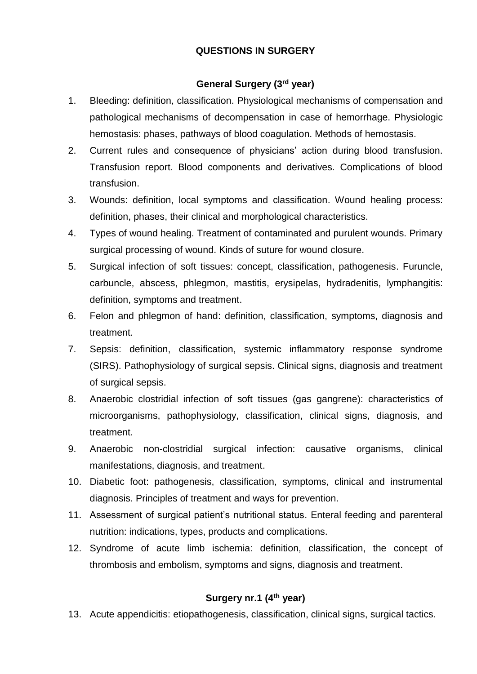#### **QUESTIONS IN SURGERY**

#### **General Surgery (3rd year)**

- 1. Bleeding: definition, classification. Physiological mechanisms of compensation and pathological mechanisms of decompensation in case of hemorrhage. Physiologic hemostasis: phases, pathways of blood coagulation. Methods of hemostasis.
- 2. Current rules and consequence of physicians' action during blood transfusion. Transfusion report. Blood components and derivatives. Complications of blood transfusion.
- 3. Wounds: definition, local symptoms and classification. Wound healing process: definition, phases, their clinical and morphological characteristics.
- 4. Types of wound healing. Treatment of contaminated and purulent wounds. Primary surgical processing of wound. Kinds of suture for wound closure.
- 5. Surgical infection of soft tissues: concept, classification, pathogenesis. Furuncle, carbuncle, abscess, phlegmon, mastitis, erysipelas, hydradenitis, lymphangitis: definition, symptoms and treatment.
- 6. Felon and phlegmon of hand: definition, classification, symptoms, diagnosis and treatment.
- 7. Sepsis: definition, classification, systemic inflammatory response syndrome (SIRS). Pathophysiology of surgical sepsis. Clinical signs, diagnosis and treatment of surgical sepsis.
- 8. Anaerobic clostridial infection of soft tissues (gas gangrene): characteristics of microorganisms, pathophysiology, classification, clinical signs, diagnosis, and treatment.
- 9. Anaerobic non-clostridial surgical infection: causative organisms, clinical manifestations, diagnosis, and treatment.
- 10. Diabetic foot: pathogenesis, classification, symptoms, clinical and instrumental diagnosis. Principles of treatment and ways for prevention.
- 11. Assessment of surgical patient's nutritional status. Enteral feeding and parenteral nutrition: indications, types, products and complications.
- 12. Syndrome of acute limb ischemia: definition, classification, the concept of thrombosis and embolism, symptoms and signs, diagnosis and treatment.

## **Surgery nr.1 (4th year)**

13. Acute appendicitis: etiopathogenesis, classification, clinical signs, surgical tactics.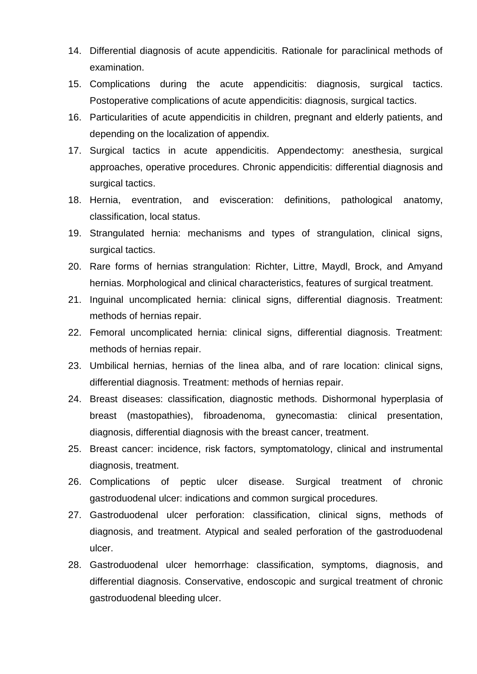- 14. Differential diagnosis of acute appendicitis. Rationale for paraclinical methods of examination.
- 15. Complications during the acute appendicitis: diagnosis, surgical tactics. Postoperative complications of acute appendicitis: diagnosis, surgical tactics.
- 16. Particularities of acute appendicitis in children, pregnant and elderly patients, and depending on the localization of appendix.
- 17. Surgical tactics in acute appendicitis. Appendectomy: anesthesia, surgical approaches, operative procedures. Chronic appendicitis: differential diagnosis and surgical tactics.
- 18. Hernia, eventration, and evisceration: definitions, pathological anatomy, classification, local status.
- 19. Strangulated hernia: mechanisms and types of strangulation, clinical signs, surgical tactics.
- 20. Rare forms of hernias strangulation: Richter, Littre, Maydl, Brock, and Amyand hernias. Morphological and clinical characteristics, features of surgical treatment.
- 21. Inguinal uncomplicated hernia: clinical signs, differential diagnosis. Treatment: methods of hernias repair.
- 22. Femoral uncomplicated hernia: clinical signs, differential diagnosis. Treatment: methods of hernias repair.
- 23. Umbilical hernias, hernias of the linea alba, and of rare location: clinical signs, differential diagnosis. Treatment: methods of hernias repair.
- 24. Breast diseases: classification, diagnostic methods. Dishormonal hyperplasia of breast (mastopathies), fibroadenoma, gynecomastia: clinical presentation, diagnosis, differential diagnosis with the breast cancer, treatment.
- 25. Breast cancer: incidence, risk factors, symptomatology, clinical and instrumental diagnosis, treatment.
- 26. Complications of peptic ulcer disease. Surgical treatment of chronic gastroduodenal ulcer: indications and common surgical procedures.
- 27. Gastroduodenal ulcer perforation: classification, clinical signs, methods of diagnosis, and treatment. Atypical and sealed perforation of the gastroduodenal ulcer.
- 28. Gastroduodenal ulcer hemorrhage: classification, symptoms, diagnosis, and differential diagnosis. Conservative, endoscopic and surgical treatment of chronic gastroduodenal bleeding ulcer.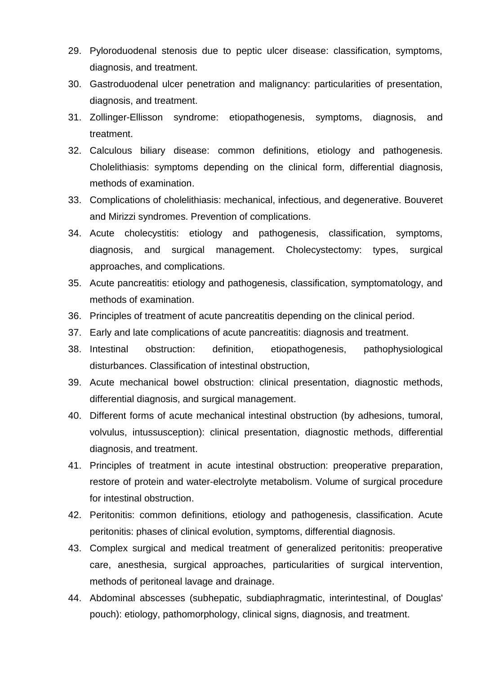- 29. Pyloroduodenal stenosis due to peptic ulcer disease: classification, symptoms, diagnosis, and treatment.
- 30. Gastroduodenal ulcer penetration and malignancy: particularities of presentation, diagnosis, and treatment.
- 31. Zollinger-Ellisson syndrome: etiopathogenesis, symptoms, diagnosis, and treatment.
- 32. Calculous biliary disease: common definitions, etiology and pathogenesis. Cholelithiasis: symptoms depending on the clinical form, differential diagnosis, methods of examination.
- 33. Complications of cholelithiasis: mechanical, infectious, and degenerative. Bouveret and Mirizzi syndromes. Prevention of complications.
- 34. Acute cholecystitis: etiology and pathogenesis, classification, symptoms, diagnosis, and surgical management. Cholecystectomy: types, surgical approaches, and complications.
- 35. Acute pancreatitis: etiology and pathogenesis, classification, symptomatology, and methods of examination.
- 36. Principles of treatment of acute pancreatitis depending on the clinical period.
- 37. Early and late complications of acute pancreatitis: diagnosis and treatment.
- 38. Intestinal obstruction: definition, etiopathogenesis, pathophysiological disturbances. Classification of intestinal obstruction,
- 39. Acute mechanical bowel obstruction: clinical presentation, diagnostic methods, differential diagnosis, and surgical management.
- 40. Different forms of acute mechanical intestinal obstruction (by adhesions, tumoral, volvulus, intussusception): clinical presentation, diagnostic methods, differential diagnosis, and treatment.
- 41. Principles of treatment in acute intestinal obstruction: preoperative preparation, restore of protein and water-electrolyte metabolism. Volume of surgical procedure for intestinal obstruction.
- 42. Peritonitis: common definitions, etiology and pathogenesis, classification. Acute peritonitis: phases of clinical evolution, symptoms, differential diagnosis.
- 43. Complex surgical and medical treatment of generalized peritonitis: preoperative care, anesthesia, surgical approaches, particularities of surgical intervention, methods of peritoneal lavage and drainage.
- 44. Abdominal abscesses (subhepatic, subdiaphragmatic, interintestinal, of Douglas' pouch): etiology, pathomorphology, clinical signs, diagnosis, and treatment.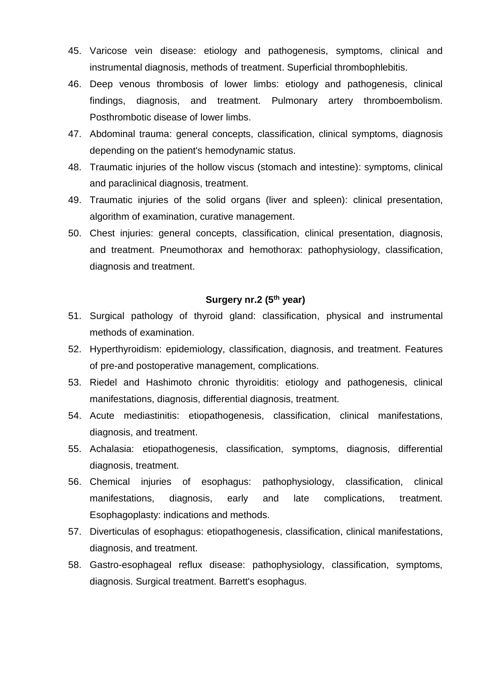- 45. Varicose vein disease: etiology and pathogenesis, symptoms, clinical and instrumental diagnosis, methods of treatment. Superficial thrombophlebitis.
- 46. Deep venous thrombosis of lower limbs: etiology and pathogenesis, clinical findings, diagnosis, and treatment. Pulmonary artery thromboembolism. Posthrombotic disease of lower limbs.
- 47. Abdominal trauma: general concepts, classification, clinical symptoms, diagnosis depending on the patient's hemodynamic status.
- 48. Traumatic injuries of the hollow viscus (stomach and intestine): symptoms, clinical and paraclinical diagnosis, treatment.
- 49. Traumatic injuries of the solid organs (liver and spleen): clinical presentation, algorithm of examination, curative management.
- 50. Chest injuries: general concepts, classification, clinical presentation, diagnosis, and treatment. Pneumothorax and hemothorax: pathophysiology, classification, diagnosis and treatment.

# **Surgery nr.2 (5th year)**

- 51. Surgical pathology of thyroid gland: classification, physical and instrumental methods of examination.
- 52. Hyperthyroidism: epidemiology, classification, diagnosis, and treatment. Features of pre-and postoperative management, complications.
- 53. Riedel and Hashimoto chronic thyroiditis: etiology and pathogenesis, clinical manifestations, diagnosis, differential diagnosis, treatment.
- 54. Acute mediastinitis: etiopathogenesis, classification, clinical manifestations, diagnosis, and treatment.
- 55. Achalasia: etiopathogenesis, classification, symptoms, diagnosis, differential diagnosis, treatment.
- 56. Chemical injuries of esophagus: pathophysiology, classification, clinical manifestations, diagnosis, early and late complications, treatment. Esophagoplasty: indications and methods.
- 57. Diverticulas of esophagus: etiopathogenesis, classification, clinical manifestations, diagnosis, and treatment.
- 58. Gastro-esophageal reflux disease: pathophysiology, classification, symptoms, diagnosis. Surgical treatment. Barrett's esophagus.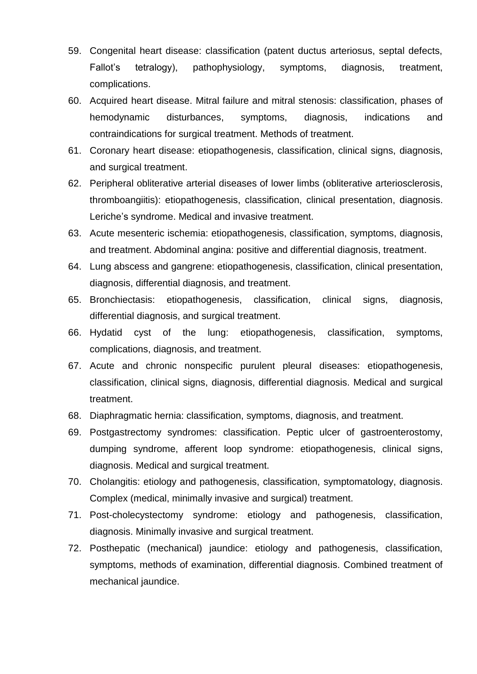- 59. Congenital heart disease: classification (patent ductus arteriosus, septal defects, Fallot's tetralogy), pathophysiology, symptoms, diagnosis, treatment, complications.
- 60. Acquired heart disease. Mitral failure and mitral stenosis: classification, phases of hemodynamic disturbances, symptoms, diagnosis, indications and contraindications for surgical treatment. Methods of treatment.
- 61. Coronary heart disease: etiopathogenesis, classification, clinical signs, diagnosis, and surgical treatment.
- 62. Peripheral obliterative arterial diseases of lower limbs (obliterative arteriosclerosis, thromboangiitis): etiopathogenesis, classification, clinical presentation, diagnosis. Leriche's syndrome. Medical and invasive treatment.
- 63. Acute mesenteric ischemia: etiopathogenesis, classification, symptoms, diagnosis, and treatment. Abdominal angina: positive and differential diagnosis, treatment.
- 64. Lung abscess and gangrene: etiopathogenesis, classification, clinical presentation, diagnosis, differential diagnosis, and treatment.
- 65. Bronchiectasis: etiopathogenesis, classification, clinical signs, diagnosis, differential diagnosis, and surgical treatment.
- 66. Hydatid cyst of the lung: etiopathogenesis, classification, symptoms, complications, diagnosis, and treatment.
- 67. Acute and chronic nonspecific purulent pleural diseases: etiopathogenesis, classification, clinical signs, diagnosis, differential diagnosis. Medical and surgical treatment.
- 68. Diaphragmatic hernia: classification, symptoms, diagnosis, and treatment.
- 69. Postgastrectomy syndromes: classification. Peptic ulcer of gastroenterostomy, dumping syndrome, afferent loop syndrome: etiopathogenesis, clinical signs, diagnosis. Medical and surgical treatment.
- 70. Cholangitis: etiology and pathogenesis, classification, symptomatology, diagnosis. Complex (medical, minimally invasive and surgical) treatment.
- 71. Post-cholecystectomy syndrome: etiology and pathogenesis, classification, diagnosis. Minimally invasive and surgical treatment.
- 72. Posthepatic (mechanical) jaundice: etiology and pathogenesis, classification, symptoms, methods of examination, differential diagnosis. Combined treatment of mechanical jaundice.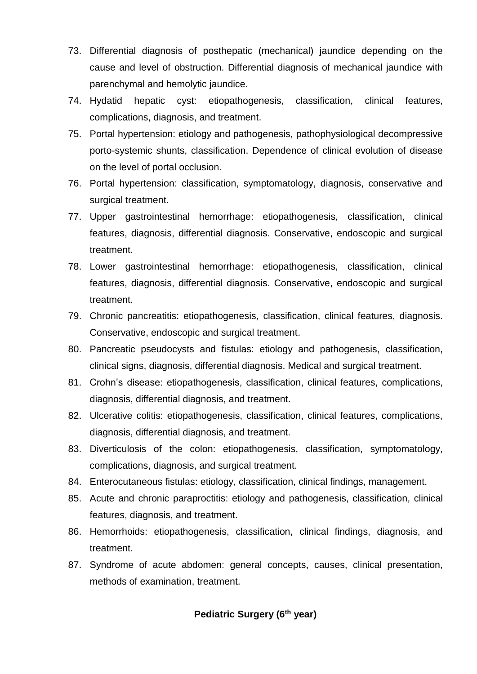- 73. Differential diagnosis of posthepatic (mechanical) jaundice depending on the cause and level of obstruction. Differential diagnosis of mechanical jaundice with parenchymal and hemolytic jaundice.
- 74. Hydatid hepatic cyst: etiopathogenesis, classification, clinical features, complications, diagnosis, and treatment.
- 75. Portal hypertension: etiology and pathogenesis, pathophysiological decompressive porto-systemic shunts, classification. Dependence of clinical evolution of disease on the level of portal occlusion.
- 76. Portal hypertension: classification, symptomatology, diagnosis, conservative and surgical treatment.
- 77. Upper gastrointestinal hemorrhage: etiopathogenesis, classification, clinical features, diagnosis, differential diagnosis. Conservative, endoscopic and surgical treatment.
- 78. Lower gastrointestinal hemorrhage: etiopathogenesis, classification, clinical features, diagnosis, differential diagnosis. Conservative, endoscopic and surgical treatment.
- 79. Chronic pancreatitis: etiopathogenesis, classification, clinical features, diagnosis. Conservative, endoscopic and surgical treatment.
- 80. Pancreatic pseudocysts and fistulas: etiology and pathogenesis, classification, clinical signs, diagnosis, differential diagnosis. Medical and surgical treatment.
- 81. Crohn's disease: etiopathogenesis, classification, clinical features, complications, diagnosis, differential diagnosis, and treatment.
- 82. Ulcerative colitis: etiopathogenesis, classification, clinical features, complications, diagnosis, differential diagnosis, and treatment.
- 83. Diverticulosis of the colon: etiopathogenesis, classification, symptomatology, complications, diagnosis, and surgical treatment.
- 84. Enterocutaneous fistulas: etiology, classification, clinical findings, management.
- 85. Acute and chronic paraproctitis: etiology and pathogenesis, classification, clinical features, diagnosis, and treatment.
- 86. Hemorrhoids: etiopathogenesis, classification, clinical findings, diagnosis, and treatment.
- 87. Syndrome of acute abdomen: general concepts, causes, clinical presentation, methods of examination, treatment.

## **Pediatric Surgery (6th year)**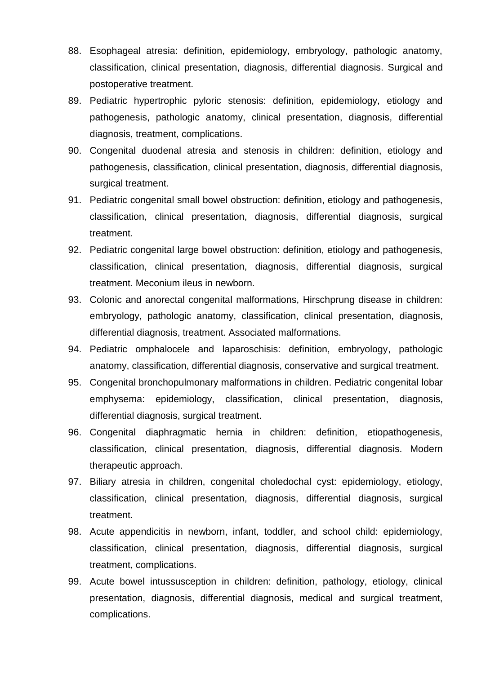- 88. Esophageal atresia: definition, epidemiology, embryology, pathologic anatomy, classification, clinical presentation, diagnosis, differential diagnosis. Surgical and postoperative treatment.
- 89. Pediatric hypertrophic pyloric stenosis: definition, epidemiology, etiology and pathogenesis, pathologic anatomy, clinical presentation, diagnosis, differential diagnosis, treatment, complications.
- 90. Congenital duodenal atresia and stenosis in children: definition, etiology and pathogenesis, classification, clinical presentation, diagnosis, differential diagnosis, surgical treatment.
- 91. Pediatric congenital small bowel obstruction: definition, etiology and pathogenesis, classification, clinical presentation, diagnosis, differential diagnosis, surgical treatment.
- 92. Pediatric congenital large bowel obstruction: definition, etiology and pathogenesis, classification, clinical presentation, diagnosis, differential diagnosis, surgical treatment. Meconium ileus in newborn.
- 93. Colonic and anorectal congenital malformations, Hirschprung disease in children: embryology, pathologic anatomy, classification, clinical presentation, diagnosis, differential diagnosis, treatment. Associated malformations.
- 94. Pediatric omphalocele and laparoschisis: definition, embryology, pathologic anatomy, classification, differential diagnosis, conservative and surgical treatment.
- 95. Congenital bronchopulmonary malformations in children. Pediatric congenital lobar emphysema: epidemiology, classification, clinical presentation, diagnosis, differential diagnosis, surgical treatment.
- 96. Congenital diaphragmatic hernia in children: definition, etiopathogenesis, classification, clinical presentation, diagnosis, differential diagnosis. Modern therapeutic approach.
- 97. Biliary atresia in children, congenital choledochal cyst: epidemiology, etiology, classification, clinical presentation, diagnosis, differential diagnosis, surgical treatment.
- 98. Acute appendicitis in newborn, infant, toddler, and school child: epidemiology, classification, clinical presentation, diagnosis, differential diagnosis, surgical treatment, complications.
- 99. Acute bowel intussusception in children: definition, pathology, etiology, clinical presentation, diagnosis, differential diagnosis, medical and surgical treatment, complications.